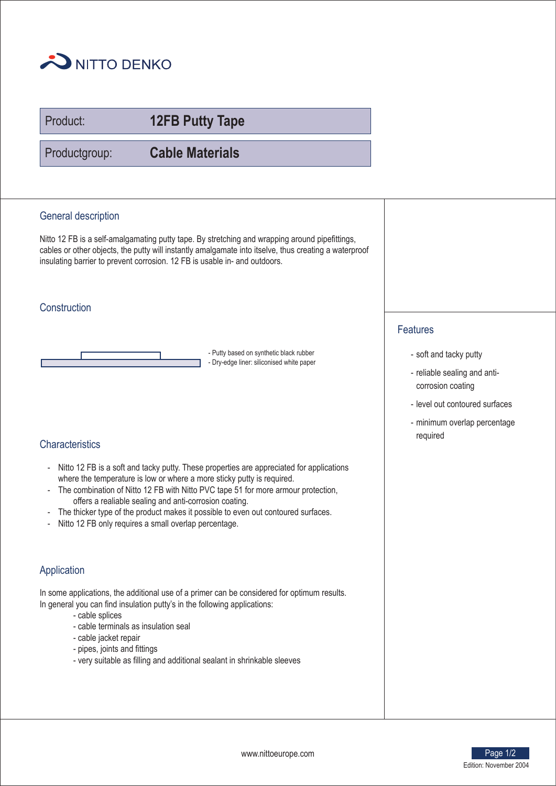

Product:

**12FB Putty Tape**

Productgroup:

**Cable Materials**

## General description

Nitto 12 FB is a self-amalgamating putty tape. By stretching and wrapping around pipefittings, cables or other objects, the putty will instantly amalgamate into itselve, thus creating a waterproof insulating barrier to prevent corrosion. 12 FB is usable in- and outdoors.

## **Construction**

- Putty based on synthetic black rubber - Dry-edge liner: siliconised white paper

# **Characteristics**

- Nitto 12 FB is a soft and tacky putty. These properties are appreciated for applications where the temperature is low or where a more sticky putty is required.
- The combination of Nitto 12 FB with Nitto PVC tape 51 for more armour protection, offers a realiable sealing and anti-corrosion coating.
- The thicker type of the product makes it possible to even out contoured surfaces.
- Nitto 12 FB only requires a small overlap percentage.

# Application

In some applications, the additional use of a primer can be considered for optimum results. In general you can find insulation putty's in the following applications:

- cable splices
- cable terminals as insulation seal
- cable jacket repair
- pipes, joints and fittings
- very suitable as filling and additional sealant in shrinkable sleeves

## Features

- soft and tacky putty
- reliable sealing and anticorrosion coating
- level out contoured surfaces
- minimum overlap percentage required